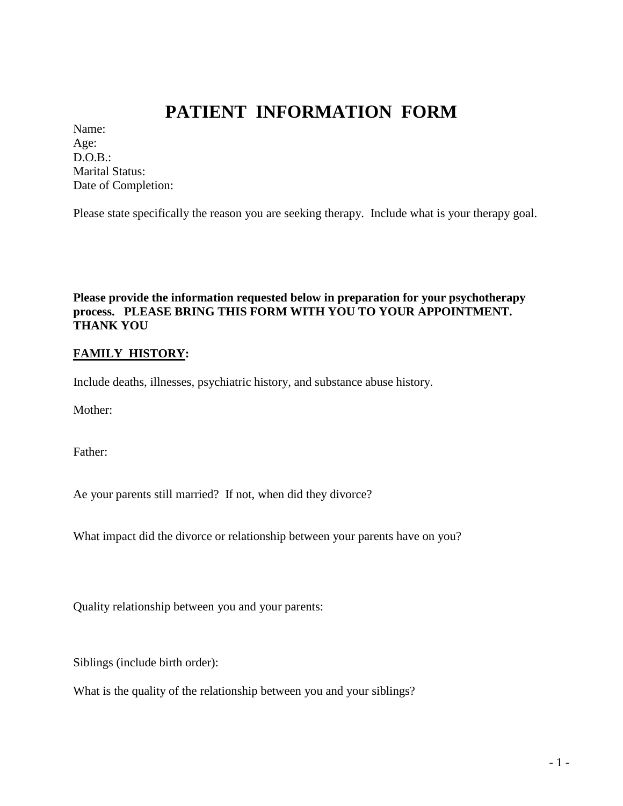# **PATIENT INFORMATION FORM**

Name: Age: D.O.B.: Marital Status: Date of Completion:

Please state specifically the reason you are seeking therapy. Include what is your therapy goal.

**Please provide the information requested below in preparation for your psychotherapy process. PLEASE BRING THIS FORM WITH YOU TO YOUR APPOINTMENT. THANK YOU**

#### **FAMILY HISTORY:**

Include deaths, illnesses, psychiatric history, and substance abuse history.

Mother:

Father:

Ae your parents still married? If not, when did they divorce?

What impact did the divorce or relationship between your parents have on you?

Quality relationship between you and your parents:

Siblings (include birth order):

What is the quality of the relationship between you and your siblings?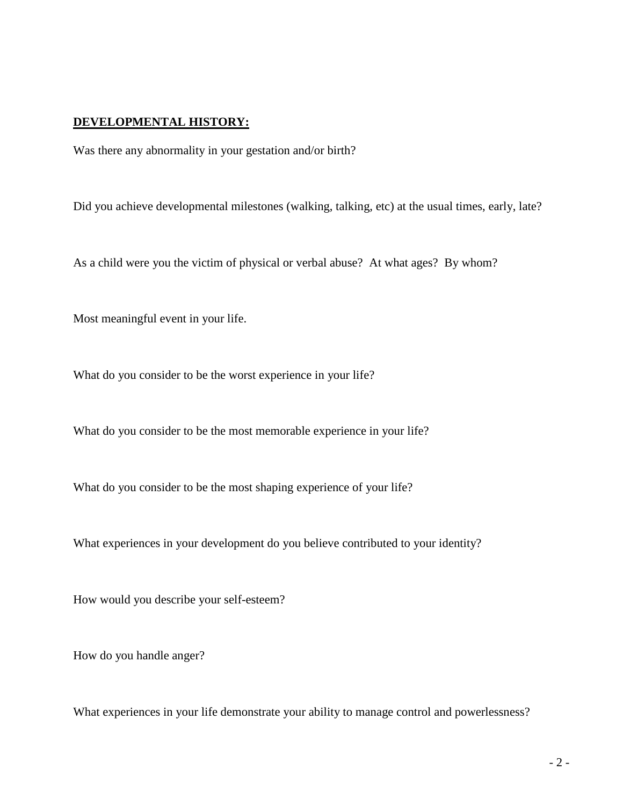#### **DEVELOPMENTAL HISTORY:**

Was there any abnormality in your gestation and/or birth?

Did you achieve developmental milestones (walking, talking, etc) at the usual times, early, late?

As a child were you the victim of physical or verbal abuse? At what ages? By whom?

Most meaningful event in your life.

What do you consider to be the worst experience in your life?

What do you consider to be the most memorable experience in your life?

What do you consider to be the most shaping experience of your life?

What experiences in your development do you believe contributed to your identity?

How would you describe your self-esteem?

How do you handle anger?

What experiences in your life demonstrate your ability to manage control and powerlessness?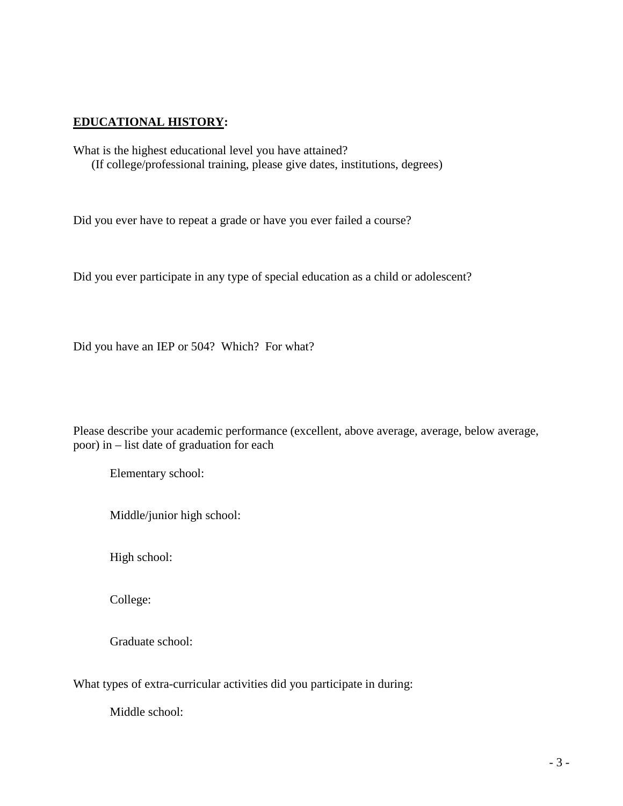## **EDUCATIONAL HISTORY:**

What is the highest educational level you have attained? (If college/professional training, please give dates, institutions, degrees)

Did you ever have to repeat a grade or have you ever failed a course?

Did you ever participate in any type of special education as a child or adolescent?

Did you have an IEP or 504? Which? For what?

Please describe your academic performance (excellent, above average, average, below average, poor) in – list date of graduation for each

Elementary school:

Middle/junior high school:

High school:

College:

Graduate school:

What types of extra-curricular activities did you participate in during:

Middle school: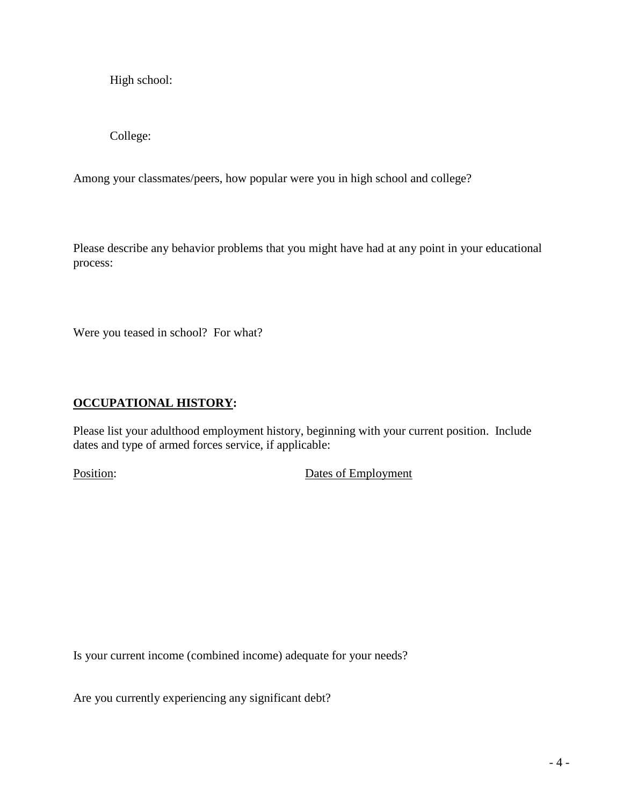High school:

College:

Among your classmates/peers, how popular were you in high school and college?

Please describe any behavior problems that you might have had at any point in your educational process:

Were you teased in school? For what?

## **OCCUPATIONAL HISTORY:**

Please list your adulthood employment history, beginning with your current position. Include dates and type of armed forces service, if applicable:

Position: Dates of Employment

Is your current income (combined income) adequate for your needs?

Are you currently experiencing any significant debt?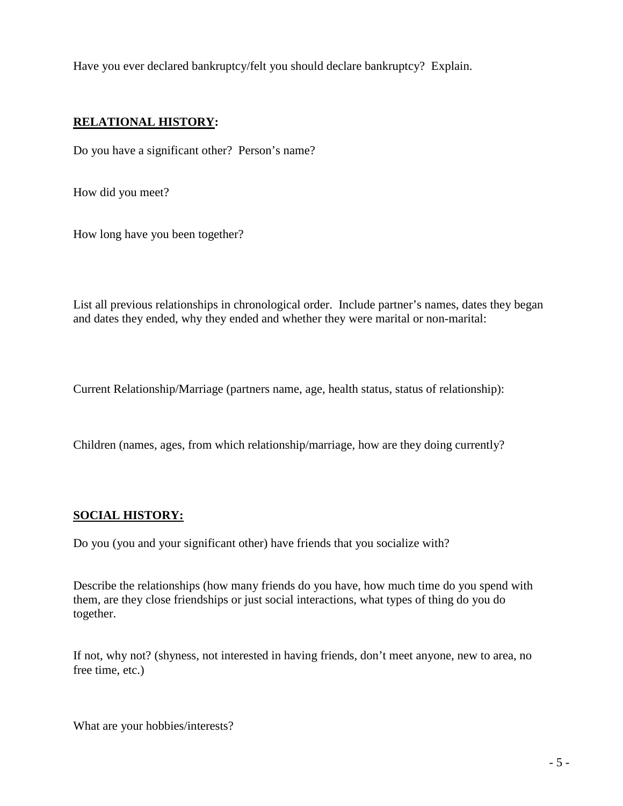Have you ever declared bankruptcy/felt you should declare bankruptcy? Explain.

# **RELATIONAL HISTORY:**

Do you have a significant other? Person's name?

How did you meet?

How long have you been together?

List all previous relationships in chronological order. Include partner's names, dates they began and dates they ended, why they ended and whether they were marital or non-marital:

Current Relationship/Marriage (partners name, age, health status, status of relationship):

Children (names, ages, from which relationship/marriage, how are they doing currently?

## **SOCIAL HISTORY:**

Do you (you and your significant other) have friends that you socialize with?

Describe the relationships (how many friends do you have, how much time do you spend with them, are they close friendships or just social interactions, what types of thing do you do together.

If not, why not? (shyness, not interested in having friends, don't meet anyone, new to area, no free time, etc.)

What are your hobbies/interests?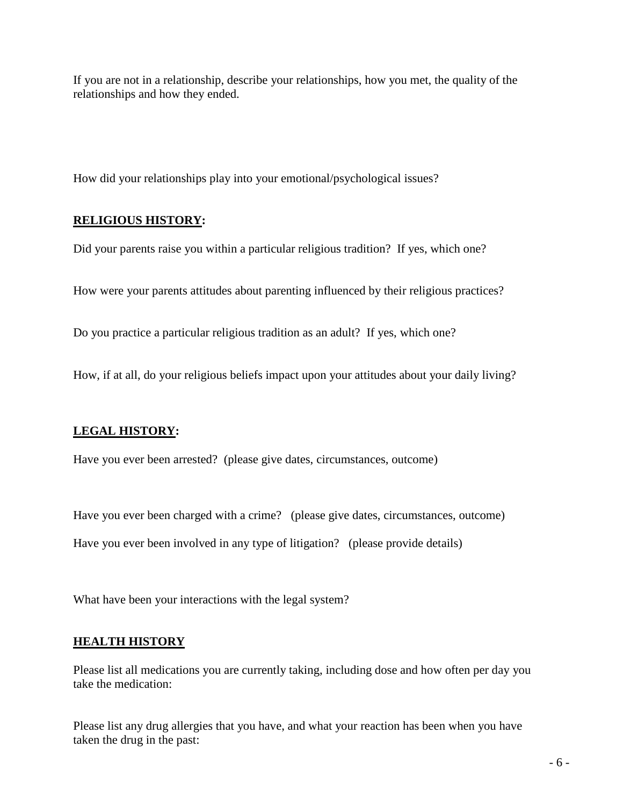If you are not in a relationship, describe your relationships, how you met, the quality of the relationships and how they ended.

How did your relationships play into your emotional/psychological issues?

## **RELIGIOUS HISTORY:**

Did your parents raise you within a particular religious tradition? If yes, which one?

How were your parents attitudes about parenting influenced by their religious practices?

Do you practice a particular religious tradition as an adult? If yes, which one?

How, if at all, do your religious beliefs impact upon your attitudes about your daily living?

# **LEGAL HISTORY:**

Have you ever been arrested? (please give dates, circumstances, outcome)

Have you ever been charged with a crime? (please give dates, circumstances, outcome)

Have you ever been involved in any type of litigation? (please provide details)

What have been your interactions with the legal system?

## **HEALTH HISTORY**

Please list all medications you are currently taking, including dose and how often per day you take the medication:

Please list any drug allergies that you have, and what your reaction has been when you have taken the drug in the past: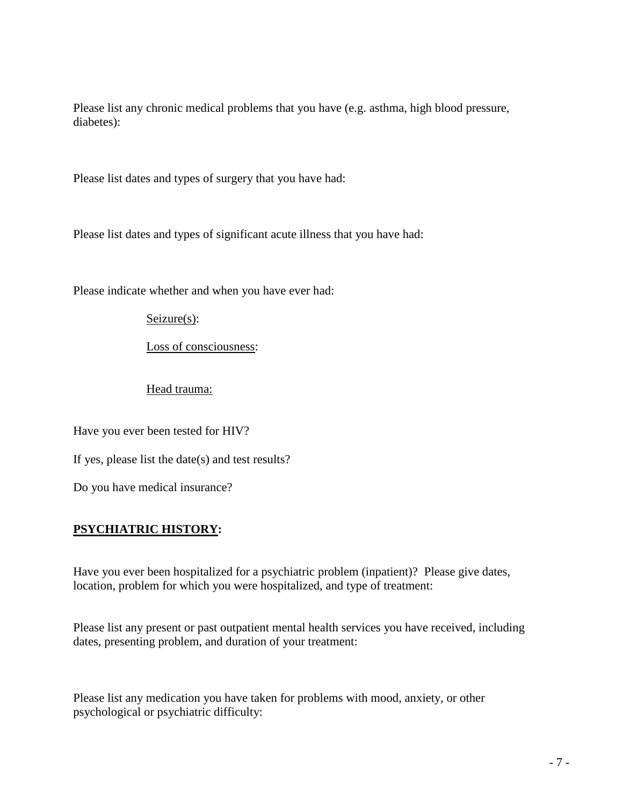Please list any chronic medical problems that you have (e.g. asthma, high blood pressure, diabetes):

Please list dates and types of surgery that you have had:

Please list dates and types of significant acute illness that you have had:

Please indicate whether and when you have ever had:

Seizure(s):

Loss of consciousness:

Head trauma:

Have you ever been tested for HIV?

If yes, please list the date(s) and test results?

Do you have medical insurance?

## **PSYCHIATRIC HISTORY:**

Have you ever been hospitalized for a psychiatric problem (inpatient)? Please give dates, location, problem for which you were hospitalized, and type of treatment:

Please list any present or past outpatient mental health services you have received, including dates, presenting problem, and duration of your treatment:

Please list any medication you have taken for problems with mood, anxiety, or other psychological or psychiatric difficulty: